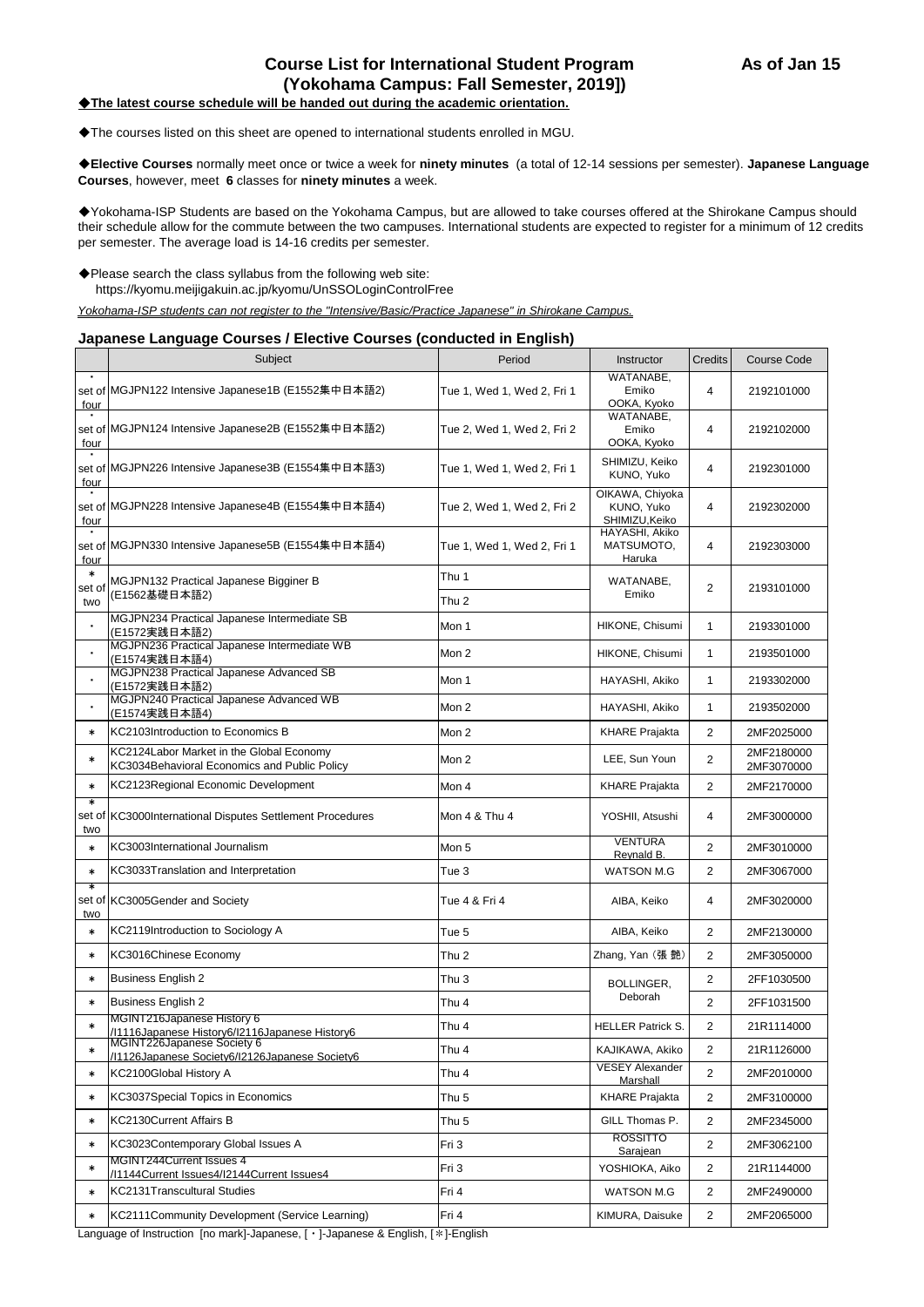# **Course List for International Student Program As of Jan 15 (Yokohama Campus: Fall Semester, 2019])**

# ◆**The latest course schedule will be handed out during the academic orientation.**

◆The courses listed on this sheet are opened to international students enrolled in MGU.

◆**Elective Courses** normally meet once or twice a week for **ninety minutes** (a total of 12-14 sessions per semester). **Japanese Language Courses**, however, meet **6** classes for **ninety minutes** a week.

◆Yokohama-ISP Students are based on the Yokohama Campus, but are allowed to take courses offered at the Shirokane Campus should their schedule allow for the commute between the two campuses. International students are expected to register for a minimum of 12 credits per semester. The average load is 14-16 credits per semester.

◆Please search the class syllabus from the following web site: https://kyomu.meijigakuin.ac.jp/kyomu/UnSSOLoginControlFree

*Yokohama-ISP students can not register to the "Intensive/Basic/Practice Japanese" in Shirokane Campus.*

## **Japanese Language Courses / Elective Courses (conducted in English)**

|               | Subject                                                                                  | Period                     | Instructor                                      | <b>Credits</b> | <b>Course Code</b>       |
|---------------|------------------------------------------------------------------------------------------|----------------------------|-------------------------------------------------|----------------|--------------------------|
| four          | set of MGJPN122 Intensive Japanese1B (E1552集中日本語2)                                       | Tue 1, Wed 1, Wed 2, Fri 1 | WATANABE,<br>Emiko<br>OOKA, Kyoko               | 4              | 2192101000               |
| <u>four</u>   | set of MGJPN124 Intensive Japanese2B (E1552集中日本語2)                                       | Tue 2, Wed 1, Wed 2, Fri 2 | WATANABE,<br>Emiko<br>OOKA, Kyoko               | 4              | 2192102000               |
| four          | set of MGJPN226 Intensive Japanese3B (E1554集中日本語3)                                       | Tue 1, Wed 1, Wed 2, Fri 1 | SHIMIZU, Keiko<br>KUNO, Yuko                    | 4              | 2192301000               |
| four          | set of MGJPN228 Intensive Japanese4B (E1554集中日本語4)                                       | Tue 2, Wed 1, Wed 2, Fri 2 | OIKAWA, Chiyoka<br>KUNO, Yuko<br>SHIMIZU, Keiko | 4              | 2192302000               |
| four          | set of MGJPN330 Intensive Japanese5B (E1554集中日本語4)                                       | Tue 1, Wed 1, Wed 2, Fri 1 | HAYASHI, Akiko<br>MATSUMOTO,<br>Haruka          | 4              | 2192303000               |
| $\ast$        | MGJPN132 Practical Japanese Bigginer B                                                   | Thu 1                      | WATANABE,                                       | $\overline{2}$ |                          |
| set of<br>two | (E1562基礎日本語2)                                                                            | Thu <sub>2</sub>           | Emiko                                           |                | 2193101000               |
|               | MGJPN234 Practical Japanese Intermediate SB<br>(E1572実践日本語2)                             | Mon 1                      | HIKONE, Chisumi                                 | $\mathbf{1}$   | 2193301000               |
|               | MGJPN236 Practical Japanese Intermediate WB<br>(E1574実践日本語4)                             | Mon 2                      | HIKONE, Chisumi                                 | $\mathbf{1}$   | 2193501000               |
|               | MGJPN238 Practical Japanese Advanced SB<br>(E1572実践日本語2)                                 | Mon 1                      | HAYASHI, Akiko                                  | 1              | 2193302000               |
|               | MGJPN240 Practical Japanese Advanced WB<br>(E1574実践日本語4)                                 | Mon 2                      | HAYASHI, Akiko                                  | 1              | 2193502000               |
| $\ast$        | KC2103Introduction to Economics B                                                        | Mon 2                      | <b>KHARE Prajakta</b>                           | 2              | 2MF2025000               |
| $\ast$        | KC2124Labor Market in the Global Economy<br>KC3034Behavioral Economics and Public Policy | Mon 2                      | LEE. Sun Youn                                   | $\overline{2}$ | 2MF2180000<br>2MF3070000 |
| $\ast$        | KC2123Regional Economic Development                                                      | Mon 4                      | <b>KHARE Prajakta</b>                           | 2              | 2MF2170000               |
| $\ast$<br>two | set of KC3000International Disputes Settlement Procedures                                | Mon 4 & Thu 4              | YOSHII, Atsushi                                 | 4              | 2MF3000000               |
| $\ast$        | KC3003International Journalism                                                           | Mon 5                      | <b>VENTURA</b><br>Reynald B.                    | $\overline{2}$ | 2MF3010000               |
| $\ast$        | KC3033Translation and Interpretation                                                     | Tue 3                      | WATSON M.G                                      | $\overline{2}$ | 2MF3067000               |
| ∗<br>two      | set of KC3005Gender and Society                                                          | Tue 4 & Fri 4              | AIBA, Keiko                                     | 4              | 2MF3020000               |
| $\ast$        | KC2119Introduction to Sociology A                                                        | Tue 5                      | AIBA, Keiko                                     | 2              | 2MF2130000               |
| $\ast$        | KC3016Chinese Economy                                                                    | Thu <sub>2</sub>           | Zhang, Yan (張艷)                                 | $\overline{2}$ | 2MF3050000               |
| $\ast$        | <b>Business English 2</b>                                                                | Thu 3                      | <b>BOLLINGER,</b><br>Deborah                    | 2              | 2FF1030500               |
| $\ast$        | <b>Business English 2</b>                                                                | Thu 4                      |                                                 | $\overline{2}$ | 2FF1031500               |
| $\ast$        | MGINT216Japanese History 6<br>/I1116Japanese History6/I2116Japanese History6             | Thu 4                      | <b>HELLER Patrick S.</b>                        | 2              | 21R1114000               |
| ∗             | MGINT226Japanese Society 6<br>/I1126Japanese Society6/I2126Japanese Society6             | Thu 4                      | KAJIKAWA, Akiko                                 | 2              | 21R1126000               |
| $\ast$        | KC2100Global History A                                                                   | Thu 4                      | <b>VESEY Alexander</b><br>Marshall              | 2              | 2MF2010000               |
| $\ast$        | KC3037Special Topics in Economics                                                        | Thu 5                      | <b>KHARE Prajakta</b>                           | $\overline{2}$ | 2MF3100000               |
| $\ast$        | <b>KC2130Current Affairs B</b>                                                           | Thu 5                      | GILL Thomas P.                                  | 2              | 2MF2345000               |
| $\ast$        | KC3023Contemporary Global Issues A                                                       | Fri 3                      | <b>ROSSITTO</b><br>Sarajean                     | 2              | 2MF3062100               |
| $\ast$        | MGINT244Current Issues 4<br>/I1144Current Issues4/I2144Current Issues4                   | Fri 3                      | YOSHIOKA, Aiko                                  | 2              | 21R1144000               |
| $\ast$        | <b>KC2131Transcultural Studies</b>                                                       | Fri 4                      | <b>WATSON M.G</b>                               | 2              | 2MF2490000               |
| $\ast$        | KC2111Community Development (Service Learning)                                           | Fri 4                      | KIMURA, Daisuke                                 | 2              | 2MF2065000               |

Language of Instruction [no mark]-Japanese, [・]-Japanese & English, [\*]-English